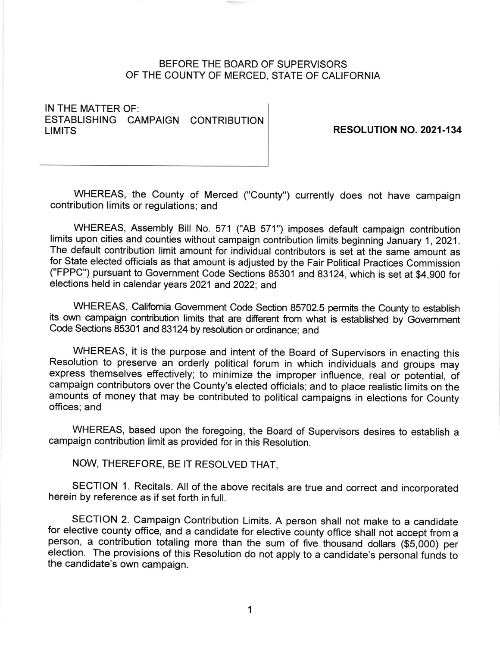## BEFORE THE BOARD OF SUPERVISORS OF THE COUNTY OF MERCED. STATE OF CALIFORNIA

IN THE MATTER OF: ESTABLISHING CAMPAIGN CONTRIBUTION<br>LIMITS

RESOLUTION NO. 2021-134

WHEREAS, the County of Merced ("County") currently does not have campaign contribution limits or regulations; and

WHEREAS, Assembly Bill No. 571 ("AB 571") imposes default campaign contribution limits upon cities and counties without campaign contribution limits beginning January 1, 2021. The default contribution limit amount for individual contributors is set at the same amount as for State elected officials as that amount is adjusted by the Fair Political Practices Commission ("FPPC") pursuant to Government Code Sections 85301 and 83124, which is set at \$4,900 for elections held in calendar years 2021 and 2022; and

WHEREAS, Califomia Govemment Code Section 85702.5 permits the County to establish its own campaign contribution limits that are different from what is established by Government Code Sections 85301 and 83124by resolution or ordinance; and

WHEREAS, it is the purpose and intent of the Board of Supervisors in enacting this Resolution to preserve an orderly political forum in which individuals and groups may express themselves effectively; to minimize the improper influence, real or potential, of campaign contributors over the County's elected officials; and to place realistic iimits on the amounts of money that may be contributed to political campaigns in elections for County offices; and

WHEREAS, based upon the foregoing, the Board of Supervisors desires to establish <sup>a</sup> campaign contribution limit as provided for in this Resolution.

NOW, THEREFORE, BE IT RESOLVED THAT,

SECTION 1. Recitals. All of the above recitals are true and correct and incorporated herein by reference as if set forth in full.

SECTION 2. Campaign Contribution Limits. A person shall not make to a candidate for elective county office, and a candidate for elective county office shall not accept from a person, a contribution totaling more than the sum of five thousand dollars (\$5,000) per election. The provisions of this Resolution do not apply to a candidate's personal funds to the candidate's own campaign.